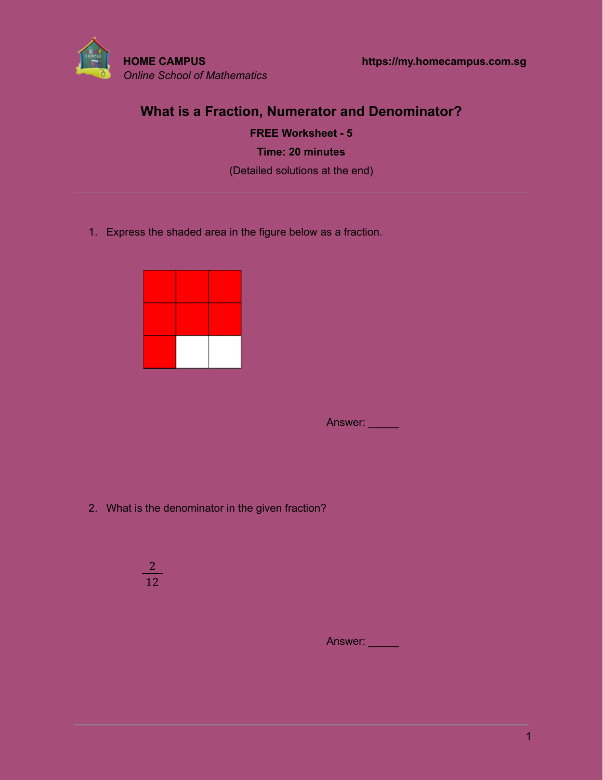

# **What is a Fraction, Numerator and Denominator?**

**FREE Worksheet - 5 Time: 20 minutes** (Detailed solutions at the end)

1. Express the shaded area in the figure below as a fraction.



Answer: \_\_\_\_

2. What is the denominator in the given fraction?

$$
\frac{2}{12}
$$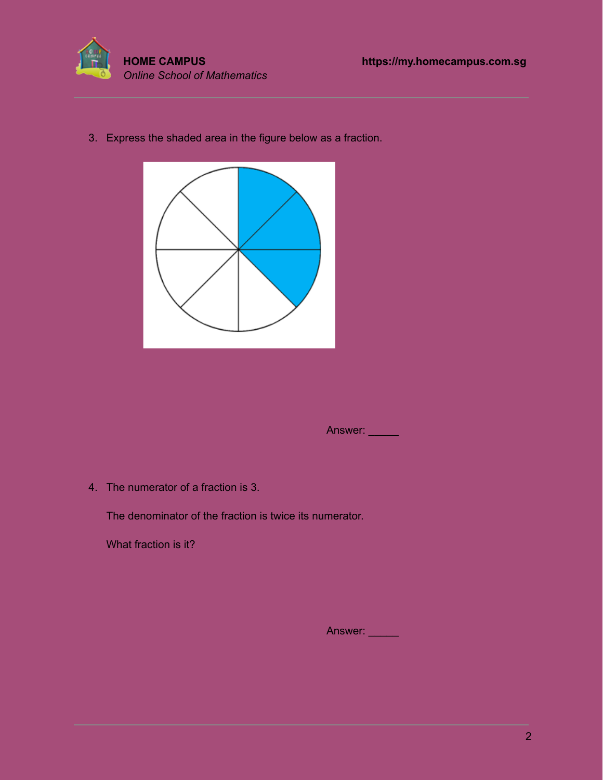

3. Express the shaded area in the figure below as a fraction.



Answer: \_\_\_\_\_

4. The numerator of a fraction is 3.

The denominator of the fraction is twice its numerator.

What fraction is it?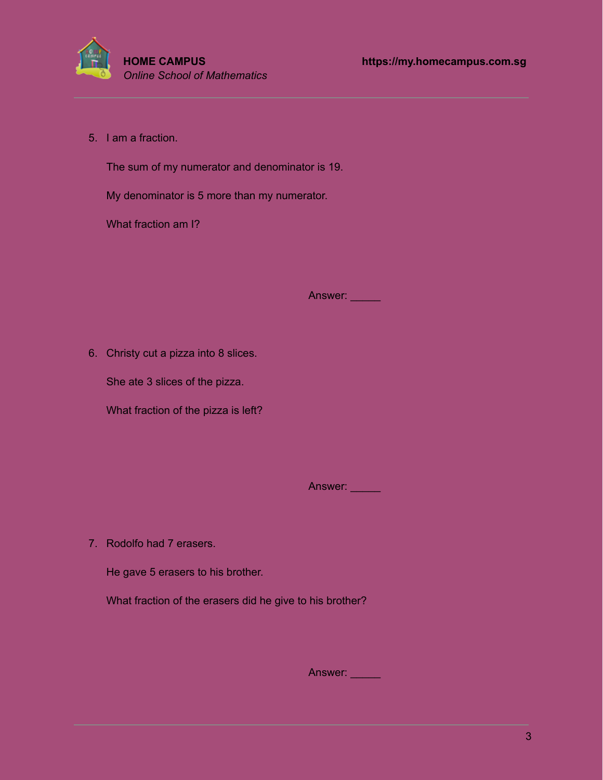

5. I am a fraction.

The sum of my numerator and denominator is 19.

My denominator is 5 more than my numerator.

What fraction am I?

Answer: **William** 

6. Christy cut a pizza into 8 slices.

She ate 3 slices of the pizza.

What fraction of the pizza is left?

Answer:

7. Rodolfo had 7 erasers.

He gave 5 erasers to his brother.

What fraction of the erasers did he give to his brother?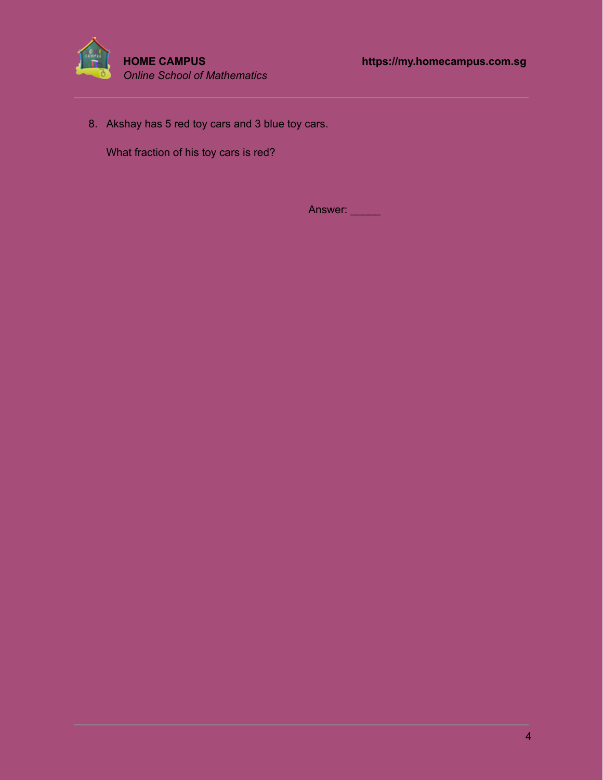

8. Akshay has 5 red toy cars and 3 blue toy cars.

What fraction of his toy cars is red?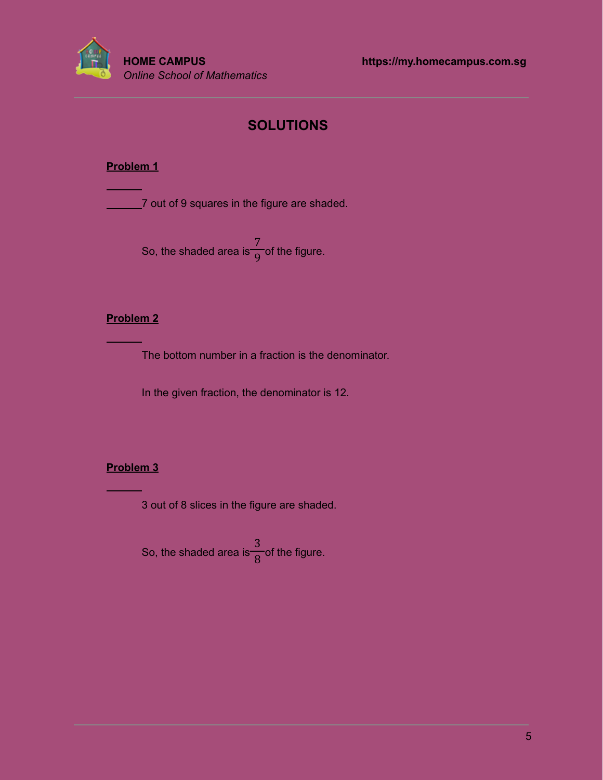

# **SOLUTIONS**

### **Problem 1**

**7** out of 9 squares in the figure are shaded.

So, the shaded area is  $\overline{O}$  of the figure. 7 9

#### **Problem 2**

The bottom number in a fraction is the denominator.

In the given fraction, the denominator is 12.

## **Problem 3**

3 out of 8 slices in the figure are shaded.

So, the shaded area is  $\frac{1}{2}$  of the figure. 3 8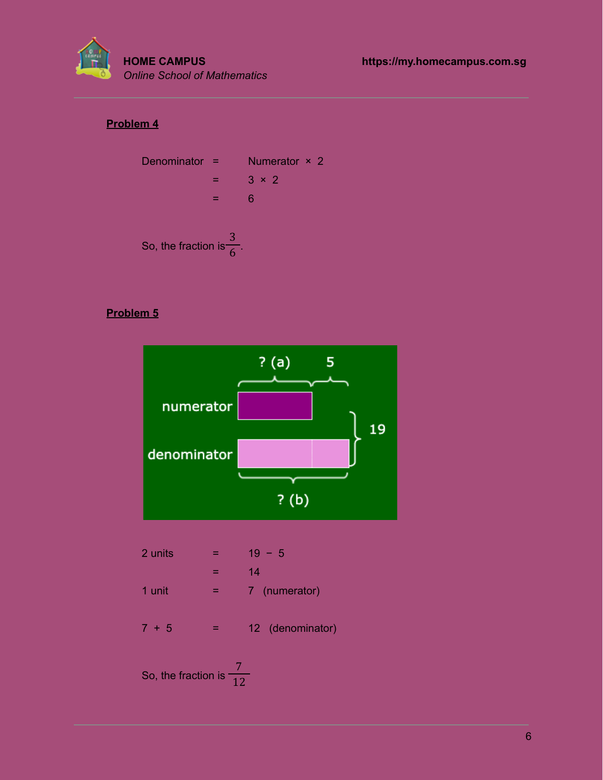

# **Problem 4**



### **Problem 5**